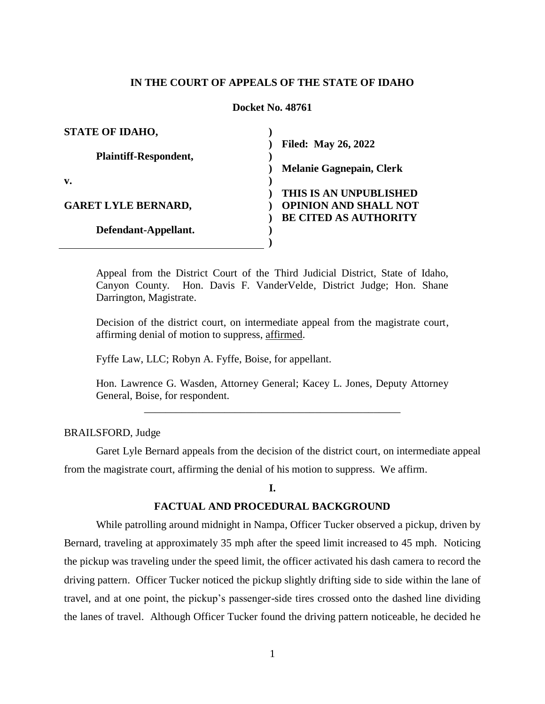## **IN THE COURT OF APPEALS OF THE STATE OF IDAHO**

### **Docket No. 48761**

| <b>STATE OF IDAHO,</b>       |                                 |
|------------------------------|---------------------------------|
|                              | <b>Filed: May 26, 2022</b>      |
| <b>Plaintiff-Respondent,</b> |                                 |
|                              | <b>Melanie Gagnepain, Clerk</b> |
| v.                           |                                 |
|                              | THIS IS AN UNPUBLISHED          |
| <b>GARET LYLE BERNARD,</b>   | <b>OPINION AND SHALL NOT</b>    |
|                              | <b>BE CITED AS AUTHORITY</b>    |
| Defendant-Appellant.         |                                 |
|                              |                                 |

Appeal from the District Court of the Third Judicial District, State of Idaho, Canyon County. Hon. Davis F. VanderVelde, District Judge; Hon. Shane Darrington, Magistrate.

Decision of the district court, on intermediate appeal from the magistrate court, affirming denial of motion to suppress, affirmed.

Fyffe Law, LLC; Robyn A. Fyffe, Boise, for appellant.

Hon. Lawrence G. Wasden, Attorney General; Kacey L. Jones, Deputy Attorney General, Boise, for respondent. \_\_\_\_\_\_\_\_\_\_\_\_\_\_\_\_\_\_\_\_\_\_\_\_\_\_\_\_\_\_\_\_\_\_\_\_\_\_\_\_\_\_\_\_\_\_\_\_

BRAILSFORD, Judge

Garet Lyle Bernard appeals from the decision of the district court, on intermediate appeal from the magistrate court, affirming the denial of his motion to suppress. We affirm.

## **I.**

## **FACTUAL AND PROCEDURAL BACKGROUND**

While patrolling around midnight in Nampa, Officer Tucker observed a pickup, driven by Bernard, traveling at approximately 35 mph after the speed limit increased to 45 mph. Noticing the pickup was traveling under the speed limit, the officer activated his dash camera to record the driving pattern. Officer Tucker noticed the pickup slightly drifting side to side within the lane of travel, and at one point, the pickup's passenger-side tires crossed onto the dashed line dividing the lanes of travel. Although Officer Tucker found the driving pattern noticeable, he decided he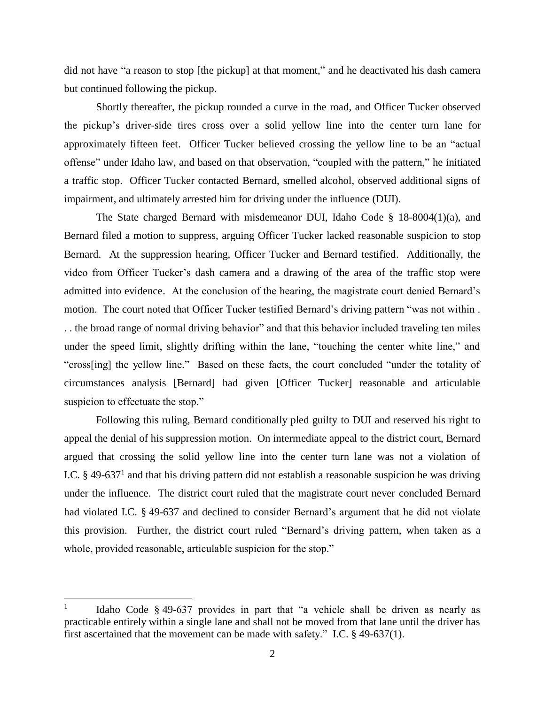did not have "a reason to stop [the pickup] at that moment," and he deactivated his dash camera but continued following the pickup.

Shortly thereafter, the pickup rounded a curve in the road, and Officer Tucker observed the pickup's driver-side tires cross over a solid yellow line into the center turn lane for approximately fifteen feet. Officer Tucker believed crossing the yellow line to be an "actual offense" under Idaho law, and based on that observation, "coupled with the pattern," he initiated a traffic stop. Officer Tucker contacted Bernard, smelled alcohol, observed additional signs of impairment, and ultimately arrested him for driving under the influence (DUI).

The State charged Bernard with misdemeanor DUI, Idaho Code § 18-8004(1)(a), and Bernard filed a motion to suppress, arguing Officer Tucker lacked reasonable suspicion to stop Bernard. At the suppression hearing, Officer Tucker and Bernard testified. Additionally, the video from Officer Tucker's dash camera and a drawing of the area of the traffic stop were admitted into evidence. At the conclusion of the hearing, the magistrate court denied Bernard's motion. The court noted that Officer Tucker testified Bernard's driving pattern "was not within . . . the broad range of normal driving behavior" and that this behavior included traveling ten miles under the speed limit, slightly drifting within the lane, "touching the center white line," and "cross[ing] the yellow line." Based on these facts, the court concluded "under the totality of circumstances analysis [Bernard] had given [Officer Tucker] reasonable and articulable suspicion to effectuate the stop."

Following this ruling, Bernard conditionally pled guilty to DUI and reserved his right to appeal the denial of his suppression motion. On intermediate appeal to the district court, Bernard argued that crossing the solid yellow line into the center turn lane was not a violation of I.C.  $\S$  49-637<sup>1</sup> and that his driving pattern did not establish a reasonable suspicion he was driving under the influence. The district court ruled that the magistrate court never concluded Bernard had violated I.C. § 49-637 and declined to consider Bernard's argument that he did not violate this provision. Further, the district court ruled "Bernard's driving pattern, when taken as a whole, provided reasonable, articulable suspicion for the stop."

 $\overline{a}$ 

<sup>1</sup> Idaho Code § 49-637 provides in part that "a vehicle shall be driven as nearly as practicable entirely within a single lane and shall not be moved from that lane until the driver has first ascertained that the movement can be made with safety." I.C. § 49-637(1).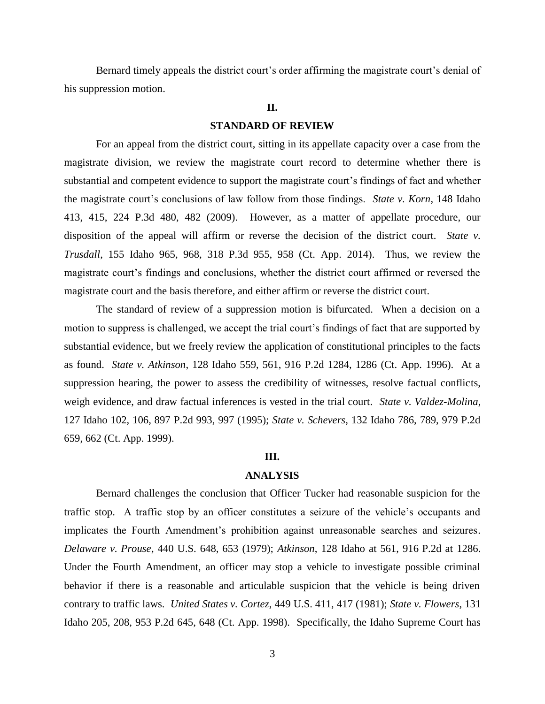Bernard timely appeals the district court's order affirming the magistrate court's denial of his suppression motion.

### **II.**

### **STANDARD OF REVIEW**

For an appeal from the district court, sitting in its appellate capacity over a case from the magistrate division, we review the magistrate court record to determine whether there is substantial and competent evidence to support the magistrate court's findings of fact and whether the magistrate court's conclusions of law follow from those findings. *State v. Korn*, 148 Idaho 413, 415, 224 P.3d 480, 482 (2009). However, as a matter of appellate procedure, our disposition of the appeal will affirm or reverse the decision of the district court. *State v. Trusdall*, 155 Idaho 965, 968, 318 P.3d 955, 958 (Ct. App. 2014). Thus, we review the magistrate court's findings and conclusions, whether the district court affirmed or reversed the magistrate court and the basis therefore, and either affirm or reverse the district court.

The standard of review of a suppression motion is bifurcated. When a decision on a motion to suppress is challenged, we accept the trial court's findings of fact that are supported by substantial evidence, but we freely review the application of constitutional principles to the facts as found. *State v. Atkinson*, 128 Idaho 559, 561, 916 P.2d 1284, 1286 (Ct. App. 1996). At a suppression hearing, the power to assess the credibility of witnesses, resolve factual conflicts, weigh evidence, and draw factual inferences is vested in the trial court. *State v. Valdez-Molina*, 127 Idaho 102, 106, 897 P.2d 993, 997 (1995); *State v. Schevers*, 132 Idaho 786, 789, 979 P.2d 659, 662 (Ct. App. 1999).

#### **III.**

## **ANALYSIS**

Bernard challenges the conclusion that Officer Tucker had reasonable suspicion for the traffic stop. A traffic stop by an officer constitutes a seizure of the vehicle's occupants and implicates the Fourth Amendment's prohibition against unreasonable searches and seizures. *Delaware v. Prouse*, 440 U.S. 648, 653 (1979); *Atkinson*, 128 Idaho at 561, 916 P.2d at 1286. Under the Fourth Amendment, an officer may stop a vehicle to investigate possible criminal behavior if there is a reasonable and articulable suspicion that the vehicle is being driven contrary to traffic laws. *United States v. Cortez*, 449 U.S. 411, 417 (1981); *State v. Flowers*, 131 Idaho 205, 208, 953 P.2d 645, 648 (Ct. App. 1998). Specifically, the Idaho Supreme Court has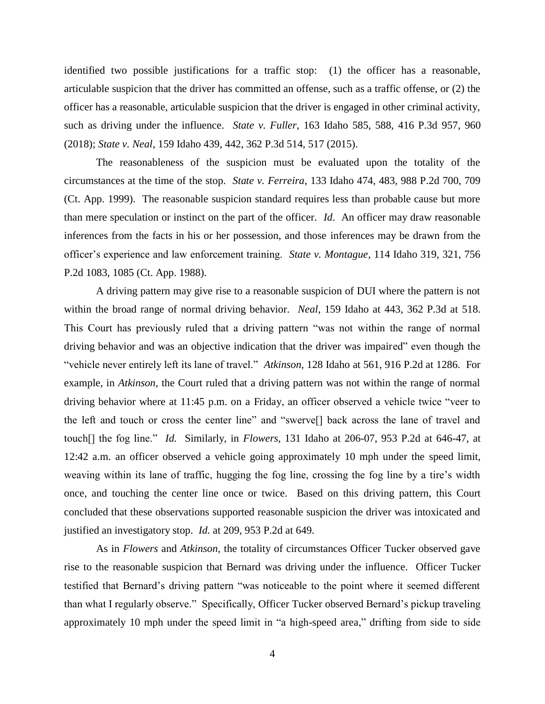identified two possible justifications for a traffic stop: (1) the officer has a reasonable, articulable suspicion that the driver has committed an offense, such as a traffic offense, or (2) the officer has a reasonable, articulable suspicion that the driver is engaged in other criminal activity, such as driving under the influence. *State v. Fuller*, 163 Idaho 585, 588, 416 P.3d 957, 960 (2018); *State v. Neal*, 159 Idaho 439, 442, 362 P.3d 514, 517 (2015).

The reasonableness of the suspicion must be evaluated upon the totality of the circumstances at the time of the stop. *State v. Ferreira*, 133 Idaho 474, 483, 988 P.2d 700, 709 (Ct. App. 1999). The reasonable suspicion standard requires less than probable cause but more than mere speculation or instinct on the part of the officer. *Id*. An officer may draw reasonable inferences from the facts in his or her possession, and those inferences may be drawn from the officer's experience and law enforcement training. *State v. Montague*, 114 Idaho 319, 321, 756 P.2d 1083, 1085 (Ct. App. 1988).

A driving pattern may give rise to a reasonable suspicion of DUI where the pattern is not within the broad range of normal driving behavior. *Neal*, 159 Idaho at 443, 362 P.3d at 518. This Court has previously ruled that a driving pattern "was not within the range of normal driving behavior and was an objective indication that the driver was impaired" even though the "vehicle never entirely left its lane of travel." *Atkinson*, 128 Idaho at 561, 916 P.2d at 1286. For example, in *Atkinson*, the Court ruled that a driving pattern was not within the range of normal driving behavior where at 11:45 p.m. on a Friday, an officer observed a vehicle twice "veer to the left and touch or cross the center line" and "swerve[] back across the lane of travel and touch[] the fog line." *Id.* Similarly, in *Flowers*, 131 Idaho at 206-07, 953 P.2d at 646-47, at 12:42 a.m. an officer observed a vehicle going approximately 10 mph under the speed limit, weaving within its lane of traffic, hugging the fog line, crossing the fog line by a tire's width once, and touching the center line once or twice. Based on this driving pattern, this Court concluded that these observations supported reasonable suspicion the driver was intoxicated and justified an investigatory stop. *Id.* at 209, 953 P.2d at 649.

As in *Flowers* and *Atkinson*, the totality of circumstances Officer Tucker observed gave rise to the reasonable suspicion that Bernard was driving under the influence. Officer Tucker testified that Bernard's driving pattern "was noticeable to the point where it seemed different than what I regularly observe." Specifically, Officer Tucker observed Bernard's pickup traveling approximately 10 mph under the speed limit in "a high-speed area," drifting from side to side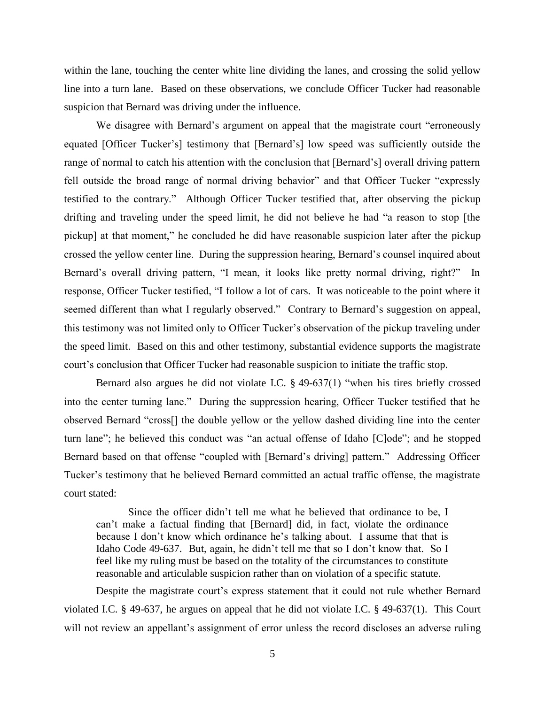within the lane, touching the center white line dividing the lanes, and crossing the solid yellow line into a turn lane. Based on these observations, we conclude Officer Tucker had reasonable suspicion that Bernard was driving under the influence.

We disagree with Bernard's argument on appeal that the magistrate court "erroneously equated [Officer Tucker's] testimony that [Bernard's] low speed was sufficiently outside the range of normal to catch his attention with the conclusion that [Bernard's] overall driving pattern fell outside the broad range of normal driving behavior" and that Officer Tucker "expressly testified to the contrary." Although Officer Tucker testified that, after observing the pickup drifting and traveling under the speed limit, he did not believe he had "a reason to stop [the pickup] at that moment," he concluded he did have reasonable suspicion later after the pickup crossed the yellow center line. During the suppression hearing, Bernard's counsel inquired about Bernard's overall driving pattern, "I mean, it looks like pretty normal driving, right?" In response, Officer Tucker testified, "I follow a lot of cars. It was noticeable to the point where it seemed different than what I regularly observed." Contrary to Bernard's suggestion on appeal, this testimony was not limited only to Officer Tucker's observation of the pickup traveling under the speed limit. Based on this and other testimony, substantial evidence supports the magistrate court's conclusion that Officer Tucker had reasonable suspicion to initiate the traffic stop.

Bernard also argues he did not violate I.C. § 49-637(1) "when his tires briefly crossed into the center turning lane." During the suppression hearing, Officer Tucker testified that he observed Bernard "cross[] the double yellow or the yellow dashed dividing line into the center turn lane"; he believed this conduct was "an actual offense of Idaho [C]ode"; and he stopped Bernard based on that offense "coupled with [Bernard's driving] pattern." Addressing Officer Tucker's testimony that he believed Bernard committed an actual traffic offense, the magistrate court stated:

Since the officer didn't tell me what he believed that ordinance to be, I can't make a factual finding that [Bernard] did, in fact, violate the ordinance because I don't know which ordinance he's talking about. I assume that that is Idaho Code 49-637. But, again, he didn't tell me that so I don't know that. So I feel like my ruling must be based on the totality of the circumstances to constitute reasonable and articulable suspicion rather than on violation of a specific statute.

Despite the magistrate court's express statement that it could not rule whether Bernard violated I.C. § 49-637, he argues on appeal that he did not violate I.C. § 49-637(1). This Court will not review an appellant's assignment of error unless the record discloses an adverse ruling